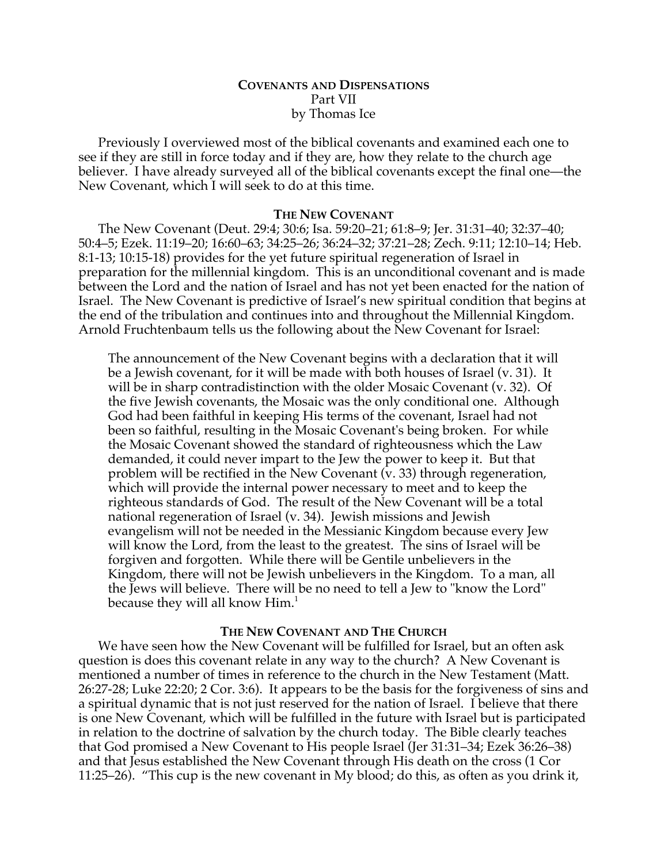# **COVENANTS AND DISPENSATIONS** Part VII by Thomas Ice

Previously I overviewed most of the biblical covenants and examined each one to see if they are still in force today and if they are, how they relate to the church age believer. I have already surveyed all of the biblical covenants except the final one—the New Covenant, which I will seek to do at this time.

## **THE NEW COVENANT**

The New Covenant (Deut. 29:4; 30:6; Isa. 59:20–21; 61:8–9; Jer. 31:31–40; 32:37–40; 50:4–5; Ezek. 11:19–20; 16:60–63; 34:25–26; 36:24–32; 37:21–28; Zech. 9:11; 12:10–14; Heb. 8:1-13; 10:15-18) provides for the yet future spiritual regeneration of Israel in preparation for the millennial kingdom. This is an unconditional covenant and is made between the Lord and the nation of Israel and has not yet been enacted for the nation of Israel. The New Covenant is predictive of Israel's new spiritual condition that begins at the end of the tribulation and continues into and throughout the Millennial Kingdom. Arnold Fruchtenbaum tells us the following about the New Covenant for Israel:

The announcement of the New Covenant begins with a declaration that it will be a Jewish covenant, for it will be made with both houses of Israel (v. 31). It will be in sharp contradistinction with the older Mosaic Covenant (v. 32). Of the five Jewish covenants, the Mosaic was the only conditional one. Although God had been faithful in keeping His terms of the covenant, Israel had not been so faithful, resulting in the Mosaic Covenant's being broken. For while the Mosaic Covenant showed the standard of righteousness which the Law demanded, it could never impart to the Jew the power to keep it. But that problem will be rectified in the New Covenant  $(\bar{v}, 33)$  through regeneration, which will provide the internal power necessary to meet and to keep the righteous standards of God. The result of the New Covenant will be a total national regeneration of Israel (v. 34). Jewish missions and Jewish evangelism will not be needed in the Messianic Kingdom because every Jew will know the Lord, from the least to the greatest. The sins of Israel will be forgiven and forgotten. While there will be Gentile unbelievers in the Kingdom, there will not be Jewish unbelievers in the Kingdom. To a man, all the Jews will believe. There will be no need to tell a Jew to "know the Lord" because they will all know  $\text{Him.}^1$ 

# **THE NEW COVENANT AND THE CHURCH**

We have seen how the New Covenant will be fulfilled for Israel, but an often ask question is does this covenant relate in any way to the church? A New Covenant is mentioned a number of times in reference to the church in the New Testament (Matt. 26:27-28; Luke 22:20; 2 Cor. 3:6). It appears to be the basis for the forgiveness of sins and a spiritual dynamic that is not just reserved for the nation of Israel. I believe that there is one New Covenant, which will be fulfilled in the future with Israel but is participated in relation to the doctrine of salvation by the church today. The Bible clearly teaches that God promised a New Covenant to His people Israel (Jer 31:31–34; Ezek 36:26–38) and that Jesus established the New Covenant through His death on the cross (1 Cor 11:25–26). "This cup is the new covenant in My blood; do this, as often as you drink it,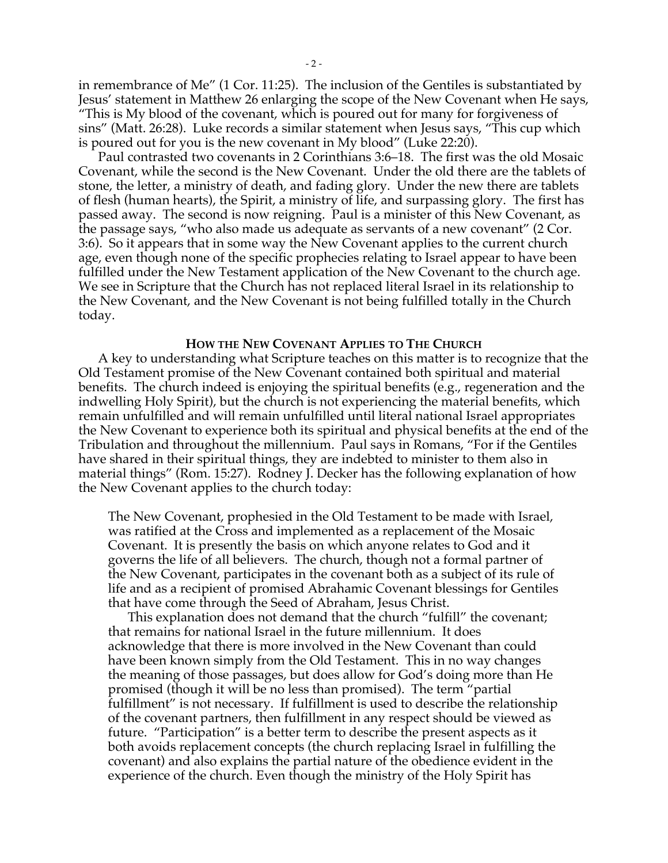in remembrance of Me" (1 Cor. 11:25). The inclusion of the Gentiles is substantiated by Jesus' statement in Matthew 26 enlarging the scope of the New Covenant when He says, "This is My blood of the covenant, which is poured out for many for forgiveness of sins" (Matt. 26:28). Luke records a similar statement when Jesus says, "This cup which is poured out for you is the new covenant in My blood" (Luke 22:20).

Paul contrasted two covenants in 2 Corinthians 3:6–18. The first was the old Mosaic Covenant, while the second is the New Covenant. Under the old there are the tablets of stone, the letter, a ministry of death, and fading glory. Under the new there are tablets of flesh (human hearts), the Spirit, a ministry of life, and surpassing glory. The first has passed away. The second is now reigning. Paul is a minister of this New Covenant, as the passage says, "who also made us adequate as servants of a new covenant" (2 Cor. 3:6). So it appears that in some way the New Covenant applies to the current church age, even though none of the specific prophecies relating to Israel appear to have been fulfilled under the New Testament application of the New Covenant to the church age. We see in Scripture that the Church has not replaced literal Israel in its relationship to the New Covenant, and the New Covenant is not being fulfilled totally in the Church today.

#### **HOW THE NEW COVENANT APPLIES TO THE CHURCH**

A key to understanding what Scripture teaches on this matter is to recognize that the Old Testament promise of the New Covenant contained both spiritual and material benefits. The church indeed is enjoying the spiritual benefits (e.g., regeneration and the indwelling Holy Spirit), but the church is not experiencing the material benefits, which remain unfulfilled and will remain unfulfilled until literal national Israel appropriates the New Covenant to experience both its spiritual and physical benefits at the end of the Tribulation and throughout the millennium. Paul says in Romans, "For if the Gentiles have shared in their spiritual things, they are indebted to minister to them also in material things" (Rom. 15:27). Rodney J. Decker has the following explanation of how the New Covenant applies to the church today:

The New Covenant, prophesied in the Old Testament to be made with Israel, was ratified at the Cross and implemented as a replacement of the Mosaic Covenant. It is presently the basis on which anyone relates to God and it governs the life of all believers. The church, though not a formal partner of the New Covenant, participates in the covenant both as a subject of its rule of life and as a recipient of promised Abrahamic Covenant blessings for Gentiles that have come through the Seed of Abraham, Jesus Christ.

This explanation does not demand that the church "fulfill" the covenant; that remains for national Israel in the future millennium. It does acknowledge that there is more involved in the New Covenant than could have been known simply from the Old Testament. This in no way changes the meaning of those passages, but does allow for God's doing more than He promised (though it will be no less than promised). The term "partial fulfillment" is not necessary. If fulfillment is used to describe the relationship of the covenant partners, then fulfillment in any respect should be viewed as future. "Participation" is a better term to describe the present aspects as it both avoids replacement concepts (the church replacing Israel in fulfilling the covenant) and also explains the partial nature of the obedience evident in the experience of the church. Even though the ministry of the Holy Spirit has